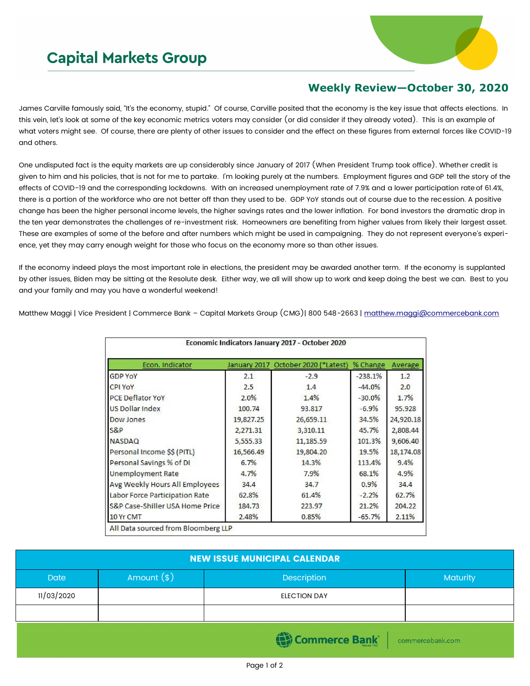## **Capital Markets Group**



## **Weekly Review—October 30, 2020**

James Carville famously said, "It's the economy, stupid." Of course, Carville posited that the economy is the key issue that affects elections. In this vein, let's look at some of the key economic metrics voters may consider (or did consider if they already voted). This is an example of what voters might see. Of course, there are plenty of other issues to consider and the effect on these figures from external forces like COVID-19 and others.

One undisputed fact is the equity markets are up considerably since January of 2017 (When President Trump took office). Whether credit is given to him and his policies, that is not for me to partake. I'm looking purely at the numbers. Employment figures and GDP tell the story of the effects of COVID-19 and the corresponding lockdowns. With an increased unemployment rate of 7.9% and a lower participation rate of 61.4%, there is a portion of the workforce who are not better off than they used to be. GDP YoY stands out of course due to the recession. A positive change has been the higher personal income levels, the higher savings rates and the lower inflation. For bond investors the dramatic drop in the ten year demonstrates the challenges of re-investment risk. Homeowners are benefiting from higher values from likely their largest asset. These are examples of some of the before and after numbers which might be used in campaigning. They do not represent everyone's experience, yet they may carry enough weight for those who focus on the economy more so than other issues.

If the economy indeed plays the most important role in elections, the president may be awarded another term. If the economy is supplanted by other issues, Biden may be sitting at the Resolute desk. Either way, we all will show up to work and keep doing the best we can. Best to you and your family and may you have a wonderful weekend!

Matthew Maggi | Vice President | Commerce Bank – Capital Markets Group (CMG)| 800 548-2663 | [matthew.maggi@commercebank.com](mailto:matthew.maggi@commercebank.com)

| Econ. Indicator                 | January 2017 | October 2020 (*Latest) | % Change  | Average   |
|---------------------------------|--------------|------------------------|-----------|-----------|
| <b>GDP YoY</b>                  | 2.1          | $-2.9$                 | $-238.1%$ | 1.2       |
| <b>CPI YOY</b>                  | 2.5          | 1.4                    | $-44.0%$  | 2.0       |
| PCE Deflator YoY                | 2.0%         | 1.4%                   | $-30.0%$  | 1.7%      |
| <b>US Dollar Index</b>          | 100.74       | 93.817                 | $-6.9%$   | 95.928    |
| Dow Jones                       | 19,827.25    | 26,659.11              | 34.5%     | 24,920.18 |
| S&P                             | 2,271.31     | 3,310.11               | 45.7%     | 2,808.44  |
| <b>NASDAQ</b>                   | 5,555.33     | 11,185.59              | 101.3%    | 9,606.40  |
| Personal Income \$\$ (PITL)     | 16,566.49    | 19,804.20              | 19.5%     | 18,174.08 |
| Personal Savings % of DI        | 6.7%         | 14.3%                  | 113.4%    | 9.4%      |
| <b>Unemployment Rate</b>        | 4.7%         | 7.9%                   | 68.1%     | 4.9%      |
| Avg Weekly Hours All Employees  | 34.4         | 34.7                   | 0.9%      | 34.4      |
| Labor Force Participation Rate  | 62.8%        | 61.4%                  | $-2.2%$   | 62.7%     |
| S&P Case-Shiller USA Home Price | 184.73       | 223.97                 | 21.2%     | 204.22    |
| 10 Yr CMT                       | 2.48%        | 0.85%                  | $-65.7%$  | 2.11%     |

| <b>NEW ISSUE MUNICIPAL CALENDAR</b> |              |                                |                 |  |  |  |  |
|-------------------------------------|--------------|--------------------------------|-----------------|--|--|--|--|
| <b>Date</b>                         | Amount $(*)$ | Description                    | <b>Maturity</b> |  |  |  |  |
| 11/03/2020                          |              | <b>ELECTION DAY</b>            |                 |  |  |  |  |
|                                     |              |                                |                 |  |  |  |  |
|                                     |              | Commerce Bank commercebank.com |                 |  |  |  |  |